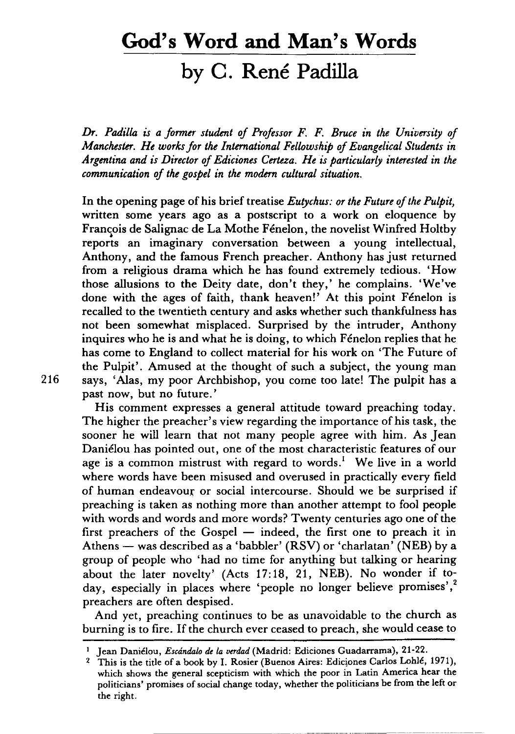# **God's Word and Man's Words**

## **by C. Rene Padilla**

*Dr. Padilla is a former student of Professor F.* F. *Brute in the University of Manchester. He works for the International Fellowship of Evangelical Students in Argentina and is Director of Ediciones Certeza. He is particularly interested in the communication of the gospel in the modern cultural situation.* 

**In** the opening page of his brief treatise *Eutychus: or the Future of the Pulpit,*  written some years ago as a postscript to a work on eloquence by Francois de Salignac de La Mothe Fénelon, the novelist Winfred Holtby reports an imaginary conversation between a young intellectual, Anthony, and the famous French preacher. Anthony has just returned from a religious drama which he has found extremely tedious. 'How those allusions to the Deity date, don't they,' he complains. 'We've done with the ages of faith, thank heaven!' At this point Fénelon is recalled to the twentieth century and asks whether such thankfulness has not been somewhat misplaced. Surprised by the intruder, Anthony inquires who he is and what he is doing, to which Fenelon replies that he has come to England to collect material for his work on 'The Future of the Pulpit'. Amused at the thought of such a subject, the young man 216 says, 'Alas, my poor Archbishop, you come too late! The pulpit has a past now, but no future.'

His comment expresses a general attitude toward preaching today. The higher the preacher's view regarding the importance of his task, the sooner he will learn that not many people agree with him. As Jean Daniélou has pointed out, one of the most characteristic features of our age is a common mistrust with regard to words.<sup>1</sup> We live in a world where words have been misused and overused in practically every field of human endeavour or social intercourse. Should we be surprised if preaching is taken as nothing more than another attempt to fool people with words and words and more words? Twenty centuries ago one of the first preachers of the Gospel  $-$  indeed, the first one to preach it in Athens  $-$  was described as a 'babbler' (RSV) or 'charlatan' (NEB) by a group of people who 'had no time for anything but talking or hearing about the later novelty' (Acts 17: 18, 21, NEB). No wonder if today, especially in places where 'people no longer believe promises',<sup>2</sup> preachers are often despised.

And yet, preaching continues to be as unavoidable to the church as burning is to fire. If the church ever ceased to preach, she would cease to

<sup>2</sup> This is the title of a book by I. Rosier (Buenos Aires: Ediciones Carlos Lohlé, 1971), which shows the general scepticism with which the poor in Latin America hear the politicians' promises of social change today, whether the politicians be from the left or the right.

<sup>&</sup>lt;sup>1</sup> Jean Daniélou, *Escándalo de la verdad* (Madrid: Ediciones Guadarrama), 21-22.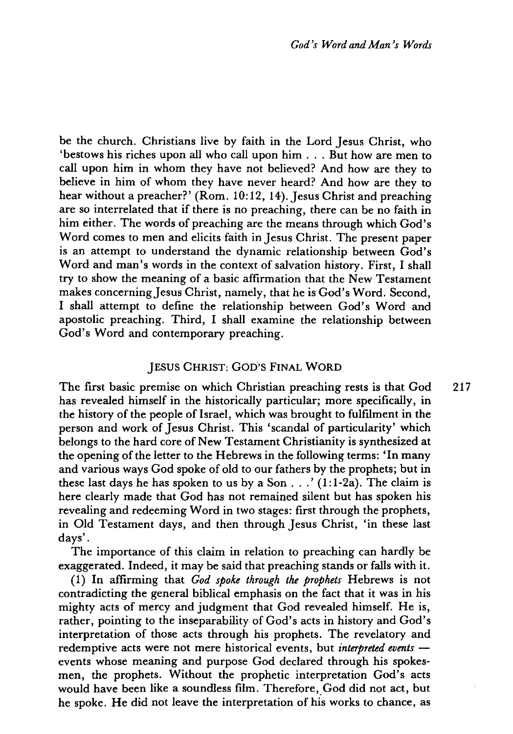be the church. Christians live by faith in the Lord Jesus Christ, who 'bestows his riches upon all who call upon him ... But how are men to call upon him in whom they have not believed? And how are they to believe in him of whom they have never heard? And how are they to hear without a preacher?' (Rom. 10:12, 14). Jesus Christ and preaching are so interrelated that if there is no preaching, there can be no faith in him either. The words of preaching are the means through which God's Word comes to men and elicits faith in Jesus Christ. The present paper is an attempt to understand the dynamic relationship between God's Word and man's words in the context of salvation history. First, I shall try to show the meaning of a basic affirmation that the New Testament makes concerning Jesus Christ, namely, that he is God's Word. Second, I shall attempt to define the relationship between God's Word and apostolic preaching. Third, I shall examine the relationship between God's Word and contemporary preaching.

#### JESUS CHRIST: GOD'S FINAL WORD

The first basic premise on which Christian preaching rests is that God 217 has revealed himself in the historically particular; more specifically, in the history of the people of Israel, which was brought to fulfilment in the person and work of Jesus Christ. This 'scandal of particularity' which belongs to the hard core of New Testament Christianity is synthesized at the opening of the letter to the Hebrews in the following terms: 'In many and various ways God spoke of old to our fathers by the prophets; but in these last days he has spoken to us by a Son . . .'  $(1:1-2a)$ . The claim is here clearly made that God has not remained silent but has spoken his revealing and redeeming Word in two stages: first through the prophets, in Old Testament days, and then through Jesus Christ, 'in these last days' .

The importance of this claim in relation to preaching can hardly be exaggerated. Indeed, it may be said that preaching stands or falls with it.

(1) In affirming that *God spoke through the prophets* Hebrews is not contradicting the general biblical emphasis on the fact that it was in his mighty acts of mercy and judgment that God revealed himself. He is, rather, pointing to the inseparability of God's acts in history and God's interpretation of those acts through his prophets. The revelatory and redemptive acts were not mere historical events, but *interpreted events*  events whose meaning and purpose God declared through his spokesmen, the prophets. Without the prophetic interpretation God's acts would have been like a soundless film. Therefore, God did not act, but he spoke. He did not leave the interpretation of his works to chance, as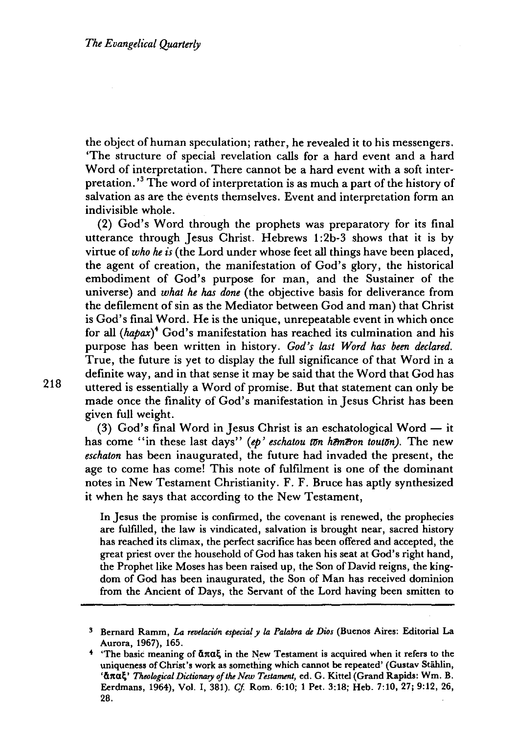the object of human speculation; rather, he revealed it to his messengers. 'The structure of special revelation calls for a hard event and a hard Word of interpretation. There cannot be a hard event with a soft interpretation.<sup>3</sup> The word of interpretation is as much a part of the history of salvation as are the events themselves. Event and interpretation form an indivisible whole.

(2) God's Word through the prophets was preparatory for its final utterance through Jesus Christ. Hebrews 1:2b-3 shows that it is by virtue of *who he is* (the Lord under whose feet all things have been placed, the agent of creation, the manifestation of God's glory, the historical embodiment of God's purpose for man, and the Sustainer of the universe) and *what he has done* (the objective basis for deliverance from the defilement of sin as the Mediator between God and man) that Christ is God's final Word. He is the unique, unrepeatable event in which once for all *(hapax)4* God's manifestation has reached its culmination and his purpose has been written in history. *God's last Word has been declared.*  True, the future is yet to display the full significance of that Word in a definite way, and in that sense it may be said that the Word that God has uttered is essentially a Word of promise. But that statement can only be made once the finality of God's manifestation in Jesus Christ has been given full weight.

(3) God's final Word in Jesus Christ is an eschatological Word  $-$  it has come "in these last days" (ep' eschatou ton hemeron touton). The new *eschaton* has been inaugurated, the future had invaded the present, the age to come has come! This note of fulfilment is one of the dominant notes in New Testament Christianity. F. F. Bruce has aptly synthesized it when he says that according to the New Testament,

In Jesus the promise is confirmed, the covenant is renewed, the prophecies are fulfilled, the law is vindicated, salvation is brought near, sacred history has reached its climax, the perfect sacrifice has been offered and accepted, the great priest over the household of God has taken his seat at God's right hand, the Prophet like Moses has been raised up, the Son of David reigns, the kingdom of God has been inaugurated, the Son of Man has received dominion from the Ancient of Days, the Servant of the Lord having been smitten to

<sup>3</sup> Bernard Ramm, *La revelacion especial* y *la Palabra* de *Dios* (Buenos Aires: Editorial La Aurora, 1967), 165.

<sup>&</sup>lt;sup>4</sup> 'The basic meaning of  $\alpha \pi \alpha \xi$  in the New Testament is acquired when it refers to the uniqueness of Christ's work as something which cannot be repeated' (Gustav Stählin, ' άπαξ' *Theological Dictionary of the New Testament*, ed. G. Kittel (Grand Rapids: Wm. B. Eerdmans, 1964), Vol. I, 381). *Cf.* Rom. 6:10; 1 Pet. 3:18; Heb. 7:10, 27; 9:12, 26, 28.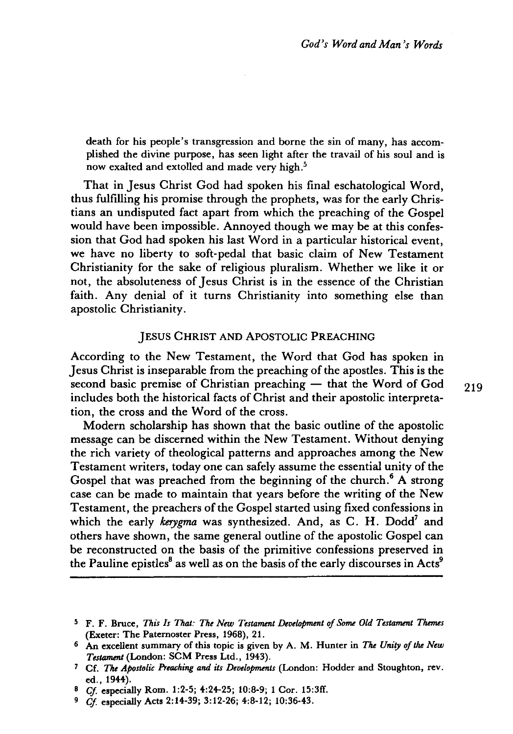death for his people's transgression and borne the sin of many, has accomplished the divine purpose, has seen light after the travail of his soul and is now exalted and extolled and made very high.<sup>5</sup>

That in Jesus Christ God had spoken his final eschatological Word, thus fulfilling his promise through the prophets, was for the early Christians an undisputed fact apart from which the preaching of the Gospel would have been impossible. Annoyed though we may be at this confession that God had spoken his last Word in a particular historical event, we have no liberty to soft-pedal that basic claim of New Testament Christianity for the sake of religious pluralism. Whether we like it or not, the absoluteness of Jesus Christ is in the essence of the Christian faith. Any denial of it turns Christianity into something else than apostolic Christianity.

## JESUS CHRIST AND ApOSTOLIC PREACHING

According to the New Testament, the Word that God has spoken in Jesus Christ is inseparable from the preaching ofthe apostles. This is the second basic premise of Christian preaching  $-$  that the Word of God 219 includes both the historical facts of Christ and their apostolic interpretation, the cross and the Word of the cross.

Modern scholarship has shown that the basic outline of the apostolic message can be discerned within the New Testament. Without denying the rich variety of theological patterns and approaches among the New Testament writers, today one can safely assume the essential unity of the Gospel that was preached from the beginning of the church.<sup>6</sup> A strong case can be made to maintain that years before the writing of the New Testament, the preachers of the Gospel started using fixed confessions in which the early *kerygma* was synthesized. And, as C. H. Dodd7 and others have shown, the same general outline of the apostolic Gospel can be reconstructed on the basis of the primitive confessions preserved in the Pauline epistles<sup>8</sup> as well as on the basis of the early discourses in Acts<sup>9</sup>

<sup>5</sup> F. F. Bruce, *This Is That: The New Testament Development of Some Old Testament Themes*  (Exeter: The Paternoster Press, 1968), 21.

<sup>6</sup> An excellent summary of this topic is given by A. M. Hunter in *The Unity* of *the New Testament* (London: SCM Press Ltd., 1943).

<sup>7</sup> Cf. *The Apostolic Preaching and its Developments* (London: Hodder and Stoughton, rev. ed., 1944).

<sup>B</sup>*Cj* especially Rom. 1:2-5; 4:24-25; 10:8-9; 1 Cor. 15:3ff.

*<sup>9</sup> Cj* especially Acts 2:14-39; 3:12-26; 4:8-12; 10:36-43.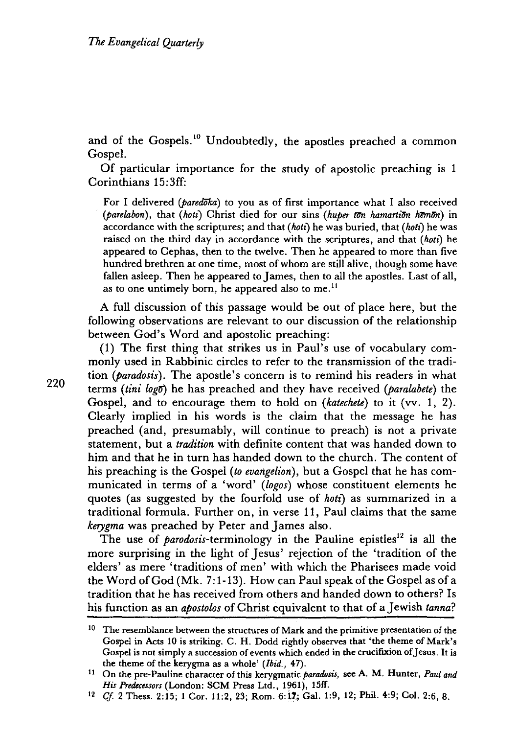and of the Gospels.<sup>10</sup> Undoubtedly, the apostles preached a common Gospel.

Of particular importance for the study of apostolic preaching is 1 Corinthians 15: 3ff:

For I delivered *(paredoka)* to you as of first importance what I also received *(parelabon)*, that *(hoti)* Christ died for our sins *(huper ton hamartion hemon)* in accordance with the scriptures; and that *(hotl)* he was buried, that *(hotl)* he was raised on the third day in accordance with the scriptures, and that *(hotl)* he appeared to Cephas, then to the twelve. Then he appeared to more than five hundred brethren at one time, most of whom are still alive, though some have fallen asleep. Then he appeared to James, then to all the apostles. Last of all, as to one untimely born, he appeared also to me.<sup>11</sup>

A full discussion of this passage would be out of place here, but the following observations are relevant to our discussion of the relationship between God's Word and apostolic preaching:

(1) The first thing that strikes us in Paul's use of vocabulary commonly used in Rabbinic circles to refer to the transmission of the tradition *(paradosis).* The apostle's concern is to remind his readers in what terms *(tini 10gTf)* he has preached and they have received *(paralabete)* the Gospel, and to encourage them to hold on *(katechete)* to it (vv. 1, 2). Clearly implied in his words is the claim that the message he has preached (and, presumably, will continue to preach) is not a private statement, but a *tradition* with definite content that was handed down to him and that he in turn has handed down to the church. The content of his preaching is the Gospel *(to evangelion),* but a Gospel that he has communicated in terms of a 'word' *(logos)* whose constituent elements he quotes (as suggested by the fourfold use of *hot!)* as summarized in a traditional formula. Further on, in verse 11, Paul claims that the same *kerygma* was preached by Peter and James also.

The use of *parodosis*-terminology in the Pauline epistles<sup>12</sup> is all the more surprising in the light of Jesus' rejection of the 'tradition of the elders' as mere 'traditions of men' with which the Pharisees made void the Word of God (Mk. 7:1-13). How can Paul speak of the Gospel as of a tradition that he has received from others and handed down to others? Is his function as an *apostolos* of Christ equivalent to that of a Jewish *tanna?* 

<sup>&</sup>lt;sup>10</sup> The resemblance between the structures of Mark and the primitive presentation of the Gospel in Acts 10 is striking. C. H. Dodd rightly observes that 'the theme of Mark's Gospel is not simply a succession of events which ended in the crucifIxion of Jesus. It is the theme of the kerygma as a whole' *(Ibid., 47).* 

<sup>11</sup> On the pre-Pauline character of this kerygmatic *paradosis,* see A. M. Hunter, *Paul and His Predecessors* (London: SCM Press Ltd., 1961), 15ff.

<sup>&</sup>lt;sup>12</sup> *Cf.* 2 Thess. 2:15; 1 Cor. 11:2, 23; Rom. 6:17; Gal. 1:9, 12; Phil. 4:9; Col. 2:6, 8.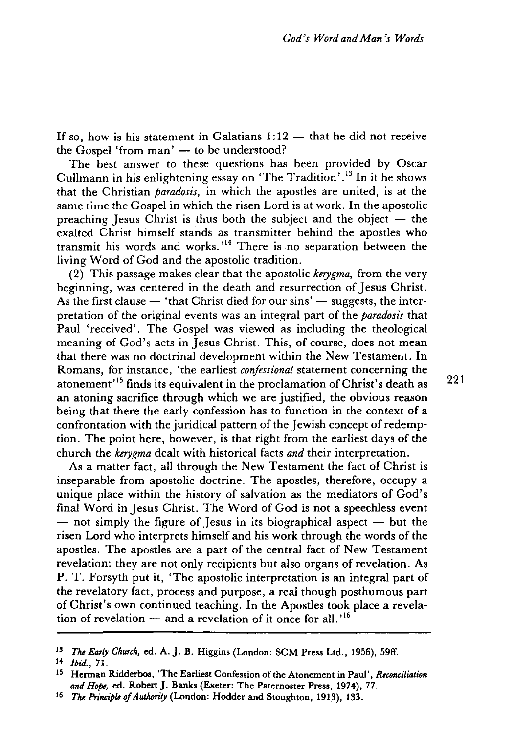If so, how is his statement in Galatians  $1:12$  - that he did not receive the Gospel 'from man' - to be understood?

The best answer to these questions has been provided by Oscar Cullmann in his enlightening essay on 'The Tradition' .13 In it he shows that the Christian *paradosis,* in which the apostles are united, is at the same time the Gospel in which the risen Lord is at work. In the apostolic preaching Jesus Christ is thus both the subject and the object  $-$  the exalted Christ himself stands as transmitter behind the apostles who transmit his words and works.<sup> $14$ </sup> There is no separation between the living Word of God and the apostolic tradition.

(2) This passage makes clear that the apostolic *kerygma,* from the very beginning, was centered in the death and resurrection of Jesus Christ. As the first clause  $-$  'that Christ died for our sins'  $-$  suggests, the interpretation of the original events was an integral part of the *paradosis* that Paul 'received'. The Gospel was viewed as including the theological meaning of God's acts in Jesus Christ. This, of course, does not mean that there was no doctrinal development within the New Testament. In Romans, for instance, 'the earliest *confessional* statement concerning the atonement<sup>15</sup> finds its equivalent in the proclamation of Christ's death as  $221$ an atoning sacrifice through which we are justified, the obvious reason being that there the early confession has to function in the context of a confrontation with the juridical pattern of the Jewish concept of redemption. The point here, however, is that right from the earliest days of the church the *kerygma* dealt with historical facts *and* their interpretation.

As a matter fact, all through the New Testament the fact of Christ is inseparable from apostolic doctrine. The apostles, therefore, occupy a unique place within the history of salvation as the mediators of God's final Word in Jesus Christ. The Word of God is not a speechless event  $-$  not simply the figure of Jesus in its biographical aspect  $-$  but the risen Lord who interprets himself and his work through the words of the apostles. The apostles are a part of the central fact of New Testament revelation: they are not only recipients but also organs of revelation. As P. T. Forsyth put it, 'The apostolic interpretation is an integral part of the revelatory fact, process and purpose, a real though posthumous part of Christ's own continued teaching. In the Apostles took place a revelation of revelation  $-$  and a revelation of it once for all.<sup>16</sup>

<sup>13</sup>*The Early Church,* ed. A. J. B. Higgins (London: SCM Press Ltd., 1956), 59ff.

<sup>14</sup> *Ibid., 71.* 

<sup>15</sup> Hennan Ridderbos, 'The Earliest Confession of the Atonement in Paul', *Reconciliation*  and Hope, ed. Robert J. Banks (Exeter: The Paternoster Press, 1974), 77.

<sup>16</sup> *The Principle of Authority* (London: Hodder and Stoughton, 1913), 133.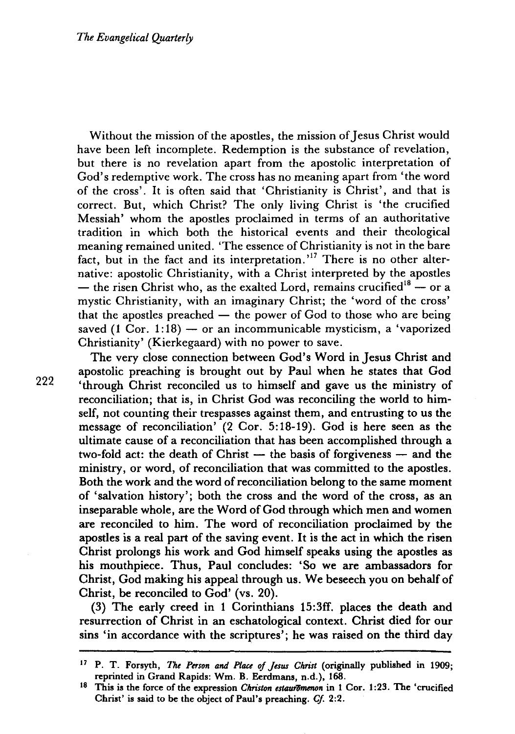Without the mission of the apostles, the mission of Jesus Christ would have been left incomplete. Redemption is the substance of revelation, but there is no revelation apart from the apostolic interpretation of God's redemptive work. The cross has no meaning apart from 'the word of the cross'. It is often said that 'Christianity is Christ', and that is correct. But, which Christ? The only living Christ is 'the crucified Messiah' whom the apostles proclaimed in terms of an authoritative tradition in which both the historical events and their theological meaning remained united. 'The essence of Christianity is not in the bare fact, but in the fact and its interpretation.<sup>17</sup> There is no other alternative: apostolic Christianity, with a Christ interpreted by the apostles — the risen Christ who, as the exalted Lord, remains crucified<sup>18</sup> — or a mystic Christianity, with an imaginary Christ; the 'word of the cross' that the apostles preached  $-$  the power of God to those who are being saved (1 Cor.  $1:18$ ) — or an incommunicable mysticism, a 'vaporized Christianity' (Kierkegaard) with no power to save.

The very close connection between God's Word in Jesus Christ and apostolic preaching is brought out by Paul when he states that God 'through Christ reconciled us to himself and gave us the ministry of reconciliation; that is, in Christ God was reconciling the world to himself, not counting their trespasses against them, and entrusting to us the message of reconciliation' (2 Cor. 5:18-19). God is here seen as the ultimate cause of a reconciliation that has been accomplished through a two-fold act: the death of Christ  $-$  the basis of forgiveness  $-$  and the ministry, or word, of reconciliation that was committed to the apostles. Both the work and the word of reconciliation belong to the same moment of 'salvation history'; both the cross and the word of the cross, as an inseparable whole, are the Word of God through which men and women are reconciled to him. The word of reconciliation proclaimed by the apostles is a real part of the saving event. It is the act in which the risen Christ prolongs his work and God himself speaks using the apostles as his mouthpiece. Thus, Paul concludes: 'So we are ambassadors for Christ, God making his appeal through us. We beseech you on behalf of Christ, be reconciled to God' (vs. 20).

(3) The early creed in 1 Corinthians 15:3ff. places the death and resurrection of Christ in an eschatological context. Christ died for our sins 'in accordance with the scriptures'; he was raised on the third day

<sup>17</sup> P. T. Forsyth, *The Person and Place of Jesus Christ* (originally published in 1909; reprinted in Grand Rapids: Wm. B. Eerdmans, n.d.), 168.

<sup>&</sup>lt;sup>18</sup> This is the force of the expression *Christon estauromenon* in 1 Cor. 1:23. The 'crucified Christ' is said to be the object of Paul's preaching. *Cl 2:2.*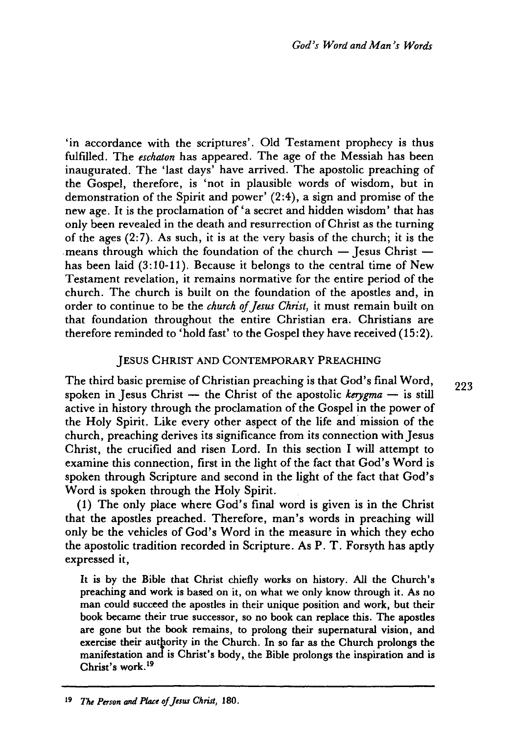'in accordance with the scriptures'. Old Testament prophecy is thus fulfilled. The *eschaton* has appeared. The age of the Messiah has been inaugurated. The 'last days' have arrived. The apostolic preaching of the Gospel, therefore, is 'not in plausible words of wisdom, but in demonstration of the Spirit and power' (2:4), a sign and promise of the new age. It is the proclamation of 'a secret and hidden Wisdom' that has only been revealed in the death and resurrection of Christ as the turning of the ages (2: 7). As such, it is at the very basis of the church; it is the means through which the foundation of the church  $-$  Jesus Christ  $$ has been laid (3:10-11). Because it belongs to the central time of New Testament revelation, it remains normative for the entire period of the church. The church is built on the foundation of the apostles and, in order to continue to be the *church* of *Jesus Christ,* it must remain built on that foundation throughout the entire Christian era. Christians are therefore reminded to 'hold fast' to the Gospel they have received (15:2).

### JESUS CHRIST AND CONTEMPORARY PREACHING

The third basic premise of Christian preaching is that God's final Word, spoken in Jesus Christ  $-$  the Christ of the apostolic *kerygma*  $-$  is still active in history through the proclamation of the Gospel in the power of the Holy Spirit. Like every other aspect of the life and mission of the church, preaching derives its significance from its connection with Jesus Christ, the crucified and risen Lord. In this section I will attempt to examine this connection, first in the light of the fact that God's Word is spoken through Scripture and second in the light of the fact that God's Word is spoken through the Holy Spirit.

(1) The only place where God's final word is given is in the Christ that the apostles preached. Therefore, man's words in preaching will only be the vehicles of God's Word in the measure in which they echo the apostolic tradition recorded in Scripture. As P. T. Forsyth has aptly expressed it,

It is by the Bible that Christ chiefly works on history. All the Church's preaching and work is based on it, on what we only know through it. As no man could succeed the apostles in their unique position and work, but their book became their true successor, so no book can replace this. The apostles are gone but the book remains, to prolong their supernatural vision, and exercise their authority in the Church. In so far as the Church prolongs the manifestation and is Christ's body, the Bible prolongs the inspiration and is Christ's work. <sup>19</sup>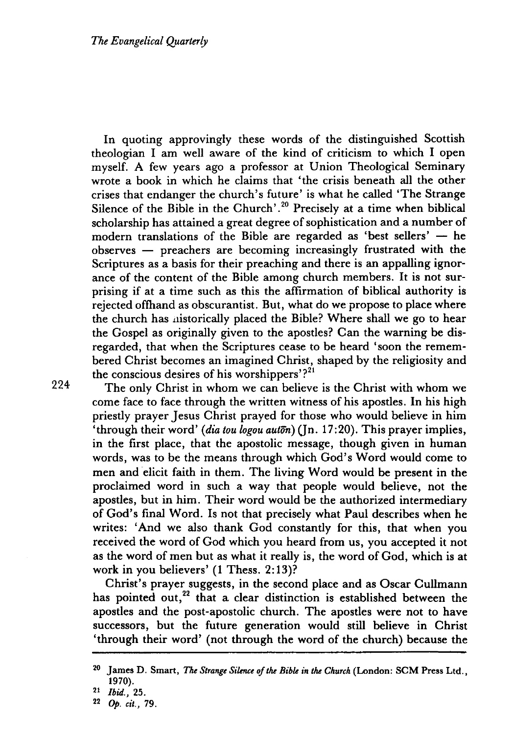In quoting approvingly these words of the distinguished Scottish theologian I am well aware of the kind of criticism to which I open myself. A few years ago a professor at Union Theological Seminary wrote a book in which he claims that 'the crisis beneath all the other crises that endanger the church's future' is what he called 'The Strange Silence of the Bible in the Church'.<sup>20</sup> Precisely at a time when biblical scholarship has attained a great degree of sophistication and a number of modern translations of the Bible are regarded as 'best sellers'  $-$  he  $observes$  - preachers are becoming increasingly frustrated with the Scriptures as a basis for their preaching and there is an appalling ignorance of the content of the Bible among church members. It is not surprising if at a time such as this the affirmation of biblical authority is rejected offhand as obscurantist. But, what do we propose to place where the church has nistorically placed the Bible? Where shall we go to hear the Gospel as originally given to the apostles? Can the warning be disregarded, that when the Scriptures cease to be heard 'soon the remembered Christ becomes an imagined Christ, shaped by the religiosity and the conscious desires of his worshippers'? $2^{21}$ 

The only Christ in whom we can believe is the Christ with whom we come face to face through the written witness of his apostles. In his high priestly prayer Jesus Christ prayed for those who would believe in him 'through their word' *(dia tou logou auton*) ( $\ln 17:20$ ). This prayer implies, in the first place, that the apostolic message, though given in human words, was to be the means through which God's Word would come to men and elicit faith in them. The living Word would be present in the proclaimed word in such a way that people would believe, not the apostles, but in him. Their word would be the authorized intermediary of God's final Word. Is not that precisely what Paul describes when he writes: 'And we also thank God constantly for this, that when you received the word of God which you heard from us, you accepted it not as the word of men but as what it really is, the word of God, which is at work in you believers' (1 Thess. 2: 13)?

Christ's prayer suggests, in the second place and as Oscar Cullmann has pointed out, $^{22}$  that a clear distinction is established between the apostles and the post-apostolic church. The apostles were not to have successors, but the future generation would still believe in Christ 'through their word' (not through the word of the church) because the

<sup>&</sup>lt;sup>20</sup> James D. Smart, *The Strange Silence of the Bible in the Church* (London: SCM Press Ltd., 1970).

*<sup>21</sup> Ibid., 25.* 

*<sup>22</sup>* Op. *cit., 79.*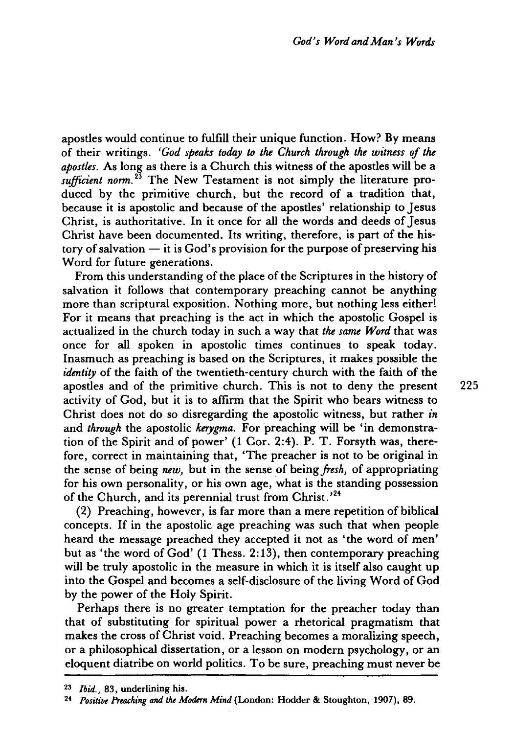apostles would continue to fulfill their unique function. How? By means of their writings. *'God speaks today to the Church through the witness* of *the apostles.* As long as there is a Church this witness of the apostles will be a *sufficient norm.*<sup>23</sup> The New Testament is not simply the literature produced by the primitive church, but the record of a tradition that, because it is apostolic and because of the apostles' relationship to Jesus Christ, is authoritative. In it once for all the words and deeds of Jesus Christ have been documented. Its writing, therefore, is part of the history of salvation  $-$  it is God's provision for the purpose of preserving his Word for future generations.

From this understanding of the place of the Scriptures in the history of salvation it follows that contemporary preaching cannot be anything more than scriptural exposition. Nothing more, but nothing less either! For it means that preaching is the act in which the apostolic Gospel is actualized in the church today in such a way that *the same Word* that was once for all spoken in apostolic times continues to speak today. Inasmuch as preaching is based on the Scriptures, it makes possible the *identity* of the faith of the twentieth-century church with the faith of the apostles and of the primitive church. This is not to deny the present 225 activity of God, but it is to affirm that the Spirit who bears witness to Christ does not do so disregarding the apostolic witness, but rather *in*  and *through* the apostolic *kerygma.* For preaching will be 'in demonstration of the Spirit and of power' (1 Cor. 2:4). P. T. Forsyth was, therefore, correct in maintaining that, 'The preacher is not to be original in the sense of being *new,* but in the sense of being *fresh,* of appropriating for his own personality, or his own age, what is the standing possession of the Church, and its perennial trust from Christ.<sup>24</sup>

(2) Preaching, however, is far more than a mere repetition of biblical concepts. If in the apostolic age preaching was such that when people heard the message preached they accepted it not as 'the word of men' but as 'the word of God' (1 Thess. 2: 13), then contemporary preaching will be truly apostolic in the measure in which it is itself also caught up into the Gospel and becomes a self-disclosure of the living Word of God by the power of the Holy Spirit.

Perhaps there is no greater temptation for the preacher today than that of substituting for spiritual power a rhetorical pragmatism that makes the cross of Christ void. Preaching becomes a moralizing speech, or a philosophical dissertation, or a lesson on modern psychology, or an eloquent diatribe on world politics. To be sure, preaching must never be

*<sup>23</sup> Ibid.,* 83, underlining his.

<sup>24</sup> *Positive Preaching and the Modern Mind* (London: Hodder & Stoughton, 1907), 89.